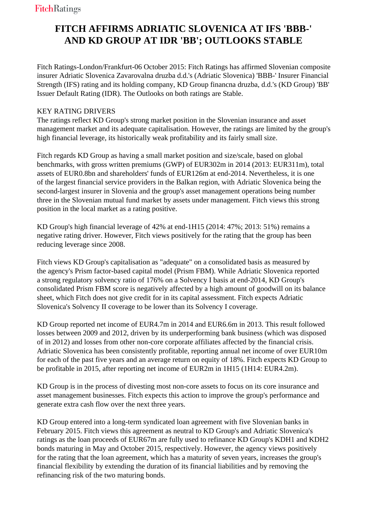## **FITCH AFFIRMS ADRIATIC SLOVENICA AT IFS 'BBB-' AND KD GROUP AT IDR 'BB'; OUTLOOKS STABLE**

 Fitch Ratings-London/Frankfurt-06 October 2015: Fitch Ratings has affirmed Slovenian composite insurer Adriatic Slovenica Zavarovalna druzba d.d.'s (Adriatic Slovenica) 'BBB-' Insurer Financial Strength (IFS) rating and its holding company, KD Group financna druzba, d.d.'s (KD Group) 'BB' Issuer Default Rating (IDR). The Outlooks on both ratings are Stable.

## KEY RATING DRIVERS

 The ratings reflect KD Group's strong market position in the Slovenian insurance and asset management market and its adequate capitalisation. However, the ratings are limited by the group's high financial leverage, its historically weak profitability and its fairly small size.

 Fitch regards KD Group as having a small market position and size/scale, based on global benchmarks, with gross written premiums (GWP) of EUR302m in 2014 (2013: EUR311m), total assets of EUR0.8bn and shareholders' funds of EUR126m at end-2014. Nevertheless, it is one of the largest financial service providers in the Balkan region, with Adriatic Slovenica being the second-largest insurer in Slovenia and the group's asset management operations being number three in the Slovenian mutual fund market by assets under management. Fitch views this strong position in the local market as a rating positive.

 KD Group's high financial leverage of 42% at end-1H15 (2014: 47%; 2013: 51%) remains a negative rating driver. However, Fitch views positively for the rating that the group has been reducing leverage since 2008.

 Fitch views KD Group's capitalisation as "adequate" on a consolidated basis as measured by the agency's Prism factor-based capital model (Prism FBM). While Adriatic Slovenica reported a strong regulatory solvency ratio of 176% on a Solvency I basis at end-2014, KD Group's consolidated Prism FBM score is negatively affected by a high amount of goodwill on its balance sheet, which Fitch does not give credit for in its capital assessment. Fitch expects Adriatic Slovenica's Solvency II coverage to be lower than its Solvency I coverage.

 KD Group reported net income of EUR4.7m in 2014 and EUR6.6m in 2013. This result followed losses between 2009 and 2012, driven by its underperforming bank business (which was disposed of in 2012) and losses from other non-core corporate affiliates affected by the financial crisis. Adriatic Slovenica has been consistently profitable, reporting annual net income of over EUR10m for each of the past five years and an average return on equity of 18%. Fitch expects KD Group to be profitable in 2015, after reporting net income of EUR2m in 1H15 (1H14: EUR4.2m).

 KD Group is in the process of divesting most non-core assets to focus on its core insurance and asset management businesses. Fitch expects this action to improve the group's performance and generate extra cash flow over the next three years.

 KD Group entered into a long-term syndicated loan agreement with five Slovenian banks in February 2015. Fitch views this agreement as neutral to KD Group's and Adriatic Slovenica's ratings as the loan proceeds of EUR67m are fully used to refinance KD Group's KDH1 and KDH2 bonds maturing in May and October 2015, respectively. However, the agency views positively for the rating that the loan agreement, which has a maturity of seven years, increases the group's financial flexibility by extending the duration of its financial liabilities and by removing the refinancing risk of the two maturing bonds.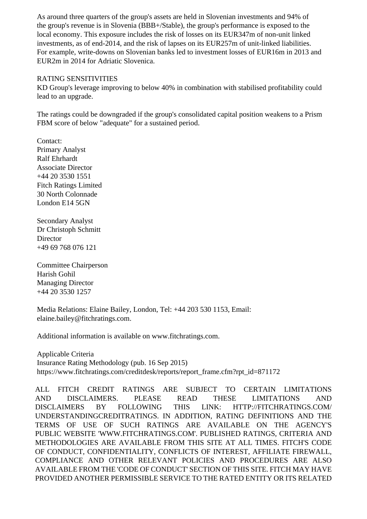As around three quarters of the group's assets are held in Slovenian investments and 94% of the group's revenue is in Slovenia (BBB+/Stable), the group's performance is exposed to the local economy. This exposure includes the risk of losses on its EUR347m of non-unit linked investments, as of end-2014, and the risk of lapses on its EUR257m of unit-linked liabilities. For example, write-downs on Slovenian banks led to investment losses of EUR16m in 2013 and EUR2m in 2014 for Adriatic Slovenica.

## RATING SENSITIVITIES

 KD Group's leverage improving to below 40% in combination with stabilised profitability could lead to an upgrade.

 The ratings could be downgraded if the group's consolidated capital position weakens to a Prism FBM score of below "adequate" for a sustained period.

 Contact: Primary Analyst Ralf Ehrhardt Associate Director +44 20 3530 1551 Fitch Ratings Limited 30 North Colonnade London E14 5GN

 Secondary Analyst Dr Christoph Schmitt **Director** +49 69 768 076 121

 Committee Chairperson Harish Gohil Managing Director +44 20 3530 1257

 Media Relations: Elaine Bailey, London, Tel: +44 203 530 1153, Email: elaine.bailey@fitchratings.com.

Additional information is available on www.fitchratings.com.

 Applicable Criteria Insurance Rating Methodology (pub. 16 Sep 2015) https://www.fitchratings.com/creditdesk/reports/report\_frame.cfm?rpt\_id=871172

ALL FITCH CREDIT RATINGS ARE SUBJECT TO CERTAIN LIMITATIONS AND DISCLAIMERS. PLEASE READ THESE LIMITATIONS AND DISCLAIMERS BY FOLLOWING THIS LINK: HTTP://FITCHRATINGS.COM/ UNDERSTANDINGCREDITRATINGS. IN ADDITION, RATING DEFINITIONS AND THE TERMS OF USE OF SUCH RATINGS ARE AVAILABLE ON THE AGENCY'S PUBLIC WEBSITE 'WWW.FITCHRATINGS.COM'. PUBLISHED RATINGS, CRITERIA AND METHODOLOGIES ARE AVAILABLE FROM THIS SITE AT ALL TIMES. FITCH'S CODE OF CONDUCT, CONFIDENTIALITY, CONFLICTS OF INTEREST, AFFILIATE FIREWALL, COMPLIANCE AND OTHER RELEVANT POLICIES AND PROCEDURES ARE ALSO AVAILABLE FROM THE 'CODE OF CONDUCT' SECTION OF THIS SITE. FITCH MAY HAVE PROVIDED ANOTHER PERMISSIBLE SERVICE TO THE RATED ENTITY OR ITS RELATED